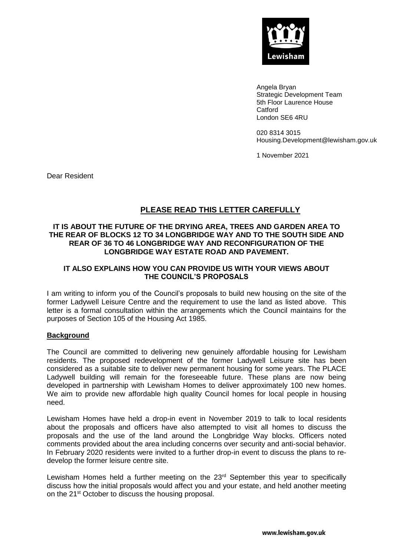

Angela Bryan Strategic Development Team 5th Floor Laurence House **Catford** London SE6 4RU

020 8314 3015 Housing.Development@lewisham.gov.uk

1 November 2021

Dear Resident

# **PLEASE READ THIS LETTER CAREFULLY**

#### **IT IS ABOUT THE FUTURE OF THE DRYING AREA, TREES AND GARDEN AREA TO THE REAR OF BLOCKS 12 TO 34 LONGBRIDGE WAY AND TO THE SOUTH SIDE AND REAR OF 36 TO 46 LONGBRIDGE WAY AND RECONFIGURATION OF THE LONGBRIDGE WAY ESTATE ROAD AND PAVEMENT.**

### **IT ALSO EXPLAINS HOW YOU CAN PROVIDE US WITH YOUR VIEWS ABOUT THE COUNCIL'S PROPOSALS**

I am writing to inform you of the Council's proposals to build new housing on the site of the former Ladywell Leisure Centre and the requirement to use the land as listed above. This letter is a formal consultation within the arrangements which the Council maintains for the purposes of Section 105 of the Housing Act 1985.

#### **Background**

The Council are committed to delivering new genuinely affordable housing for Lewisham residents. The proposed redevelopment of the former Ladywell Leisure site has been considered as a suitable site to deliver new permanent housing for some years. The PLACE Ladywell building will remain for the foreseeable future. These plans are now being developed in partnership with Lewisham Homes to deliver approximately 100 new homes. We aim to provide new affordable high quality Council homes for local people in housing need.

Lewisham Homes have held a drop-in event in November 2019 to talk to local residents about the proposals and officers have also attempted to visit all homes to discuss the proposals and the use of the land around the Longbridge Way blocks. Officers noted comments provided about the area including concerns over security and anti-social behavior. In February 2020 residents were invited to a further drop-in event to discuss the plans to redevelop the former leisure centre site.

Lewisham Homes held a further meeting on the  $23<sup>rd</sup>$  September this year to specifically discuss how the initial proposals would affect you and your estate, and held another meeting on the 21<sup>st</sup> October to discuss the housing proposal.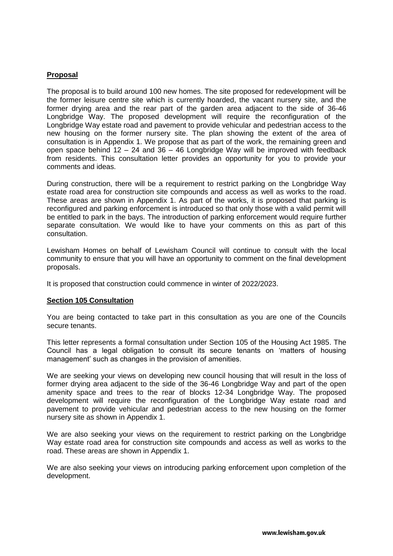### **Proposal**

The proposal is to build around 100 new homes. The site proposed for redevelopment will be the former leisure centre site which is currently hoarded, the vacant nursery site, and the former drying area and the rear part of the garden area adjacent to the side of 36-46 Longbridge Way. The proposed development will require the reconfiguration of the Longbridge Way estate road and pavement to provide vehicular and pedestrian access to the new housing on the former nursery site. The plan showing the extent of the area of consultation is in Appendix 1. We propose that as part of the work, the remaining green and open space behind  $12 - 24$  and  $36 - 46$  Longbridge Way will be improved with feedback from residents. This consultation letter provides an opportunity for you to provide your comments and ideas.

During construction, there will be a requirement to restrict parking on the Longbridge Way estate road area for construction site compounds and access as well as works to the road. These areas are shown in Appendix 1. As part of the works, it is proposed that parking is reconfigured and parking enforcement is introduced so that only those with a valid permit will be entitled to park in the bays. The introduction of parking enforcement would require further separate consultation. We would like to have your comments on this as part of this consultation.

Lewisham Homes on behalf of Lewisham Council will continue to consult with the local community to ensure that you will have an opportunity to comment on the final development proposals.

It is proposed that construction could commence in winter of 2022/2023.

#### **Section 105 Consultation**

You are being contacted to take part in this consultation as you are one of the Councils secure tenants.

This letter represents a formal consultation under Section 105 of the Housing Act 1985. The Council has a legal obligation to consult its secure tenants on 'matters of housing management' such as changes in the provision of amenities.

We are seeking your views on developing new council housing that will result in the loss of former drying area adjacent to the side of the 36-46 Longbridge Way and part of the open amenity space and trees to the rear of blocks 12-34 Longbridge Way. The proposed development will require the reconfiguration of the Longbridge Way estate road and pavement to provide vehicular and pedestrian access to the new housing on the former nursery site as shown in Appendix 1.

We are also seeking your views on the requirement to restrict parking on the Longbridge Way estate road area for construction site compounds and access as well as works to the road. These areas are shown in Appendix 1.

We are also seeking your views on introducing parking enforcement upon completion of the development.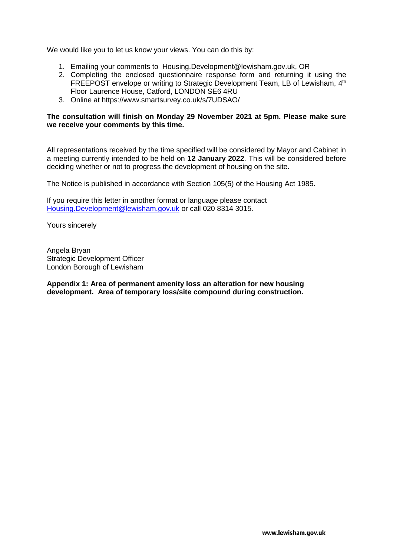We would like you to let us know your views. You can do this by:

- 1. Emailing your comments to Housing.Development@lewisham.gov.uk, OR
- 2. Completing the enclosed questionnaire response form and returning it using the FREEPOST envelope or writing to Strategic Development Team, LB of Lewisham,  $4<sup>th</sup>$ Floor Laurence House, Catford, LONDON SE6 4RU
- 3. Online at https://www.smartsurvey.co.uk/s/7UDSAO/

#### **The consultation will finish on Monday 29 November 2021 at 5pm. Please make sure we receive your comments by this time.**

All representations received by the time specified will be considered by Mayor and Cabinet in a meeting currently intended to be held on **12 January 2022**. This will be considered before deciding whether or not to progress the development of housing on the site.

The Notice is published in accordance with Section 105(5) of the Housing Act 1985.

If you require this letter in another format or language please contact [Housing.Development@lewisham.gov.uk](mailto:Housing.Development@lewisham.gov.uk) or call 020 8314 3015.

Yours sincerely

Angela Bryan Strategic Development Officer London Borough of Lewisham

**Appendix 1: Area of permanent amenity loss an alteration for new housing development. Area of temporary loss/site compound during construction.**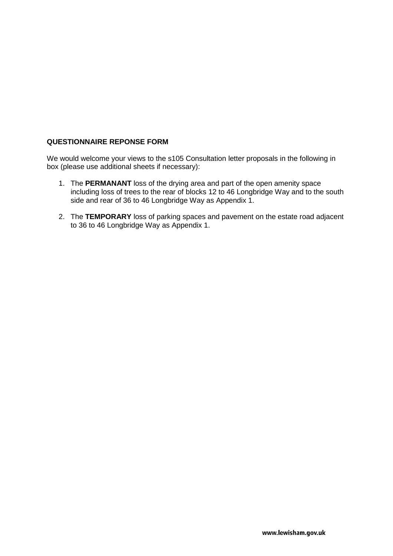## **QUESTIONNAIRE REPONSE FORM**

We would welcome your views to the s105 Consultation letter proposals in the following in box (please use additional sheets if necessary):

- 1. The **PERMANANT** loss of the drying area and part of the open amenity space including loss of trees to the rear of blocks 12 to 46 Longbridge Way and to the south side and rear of 36 to 46 Longbridge Way as Appendix 1.
- 2. The **TEMPORARY** loss of parking spaces and pavement on the estate road adjacent to 36 to 46 Longbridge Way as Appendix 1.